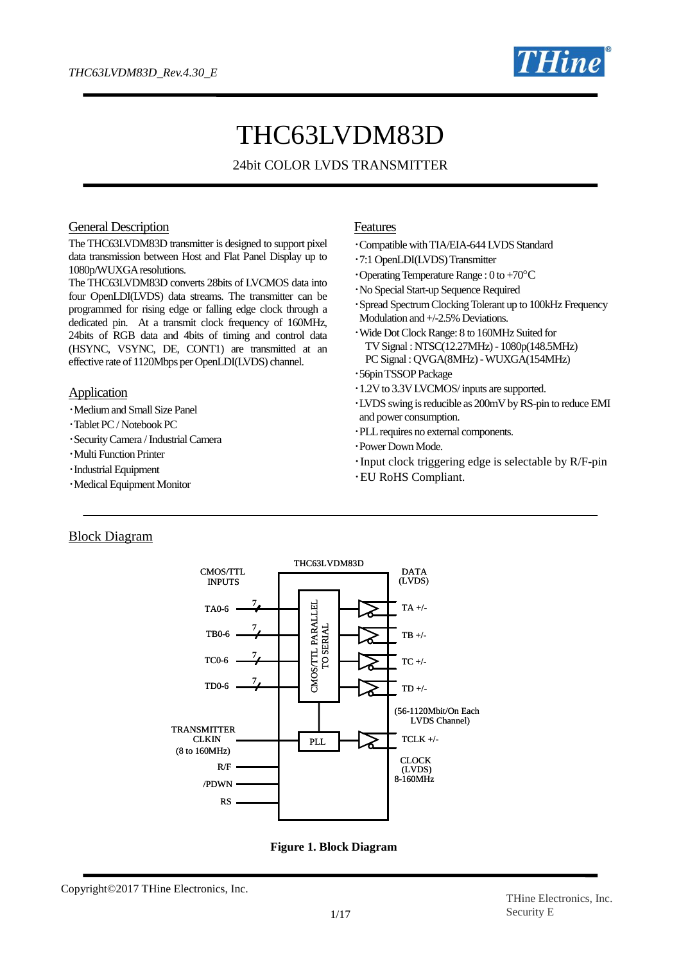

# THC63LVDM83D

## 24bit COLOR LVDS TRANSMITTER

#### General Description

The THC63LVDM83D transmitter is designed to support pixel data transmission between Host and Flat Panel Display up to 1080p/WUXGA resolutions.

The THC63LVDM83D converts 28bits of LVCMOS data into four OpenLDI(LVDS) data streams. The transmitter can be programmed for rising edge or falling edge clock through a dedicated pin. At a transmit clock frequency of 160MHz, 24bits of RGB data and 4bits of timing and control data (HSYNC, VSYNC, DE, CONT1) are transmitted at an effective rate of 1120Mbps per OpenLDI(LVDS) channel.

#### **Application**

- ・Medium and Small Size Panel
- ・Tablet PC / Notebook PC
- ・Security Camera / Industrial Camera
- ・Multi Function Printer
- ・Industrial Equipment
- ・Medical Equipment Monitor

#### Features

- ・Compatible with TIA/EIA-644 LVDS Standard
- ・7:1 OpenLDI(LVDS)Transmitter
- $\cdot$ Operating Temperature Range : 0 to +70 $\rm{^{\circ}C}$
- ・No Special Start-up Sequence Required
- ・Spread Spectrum Clocking Tolerant up to 100kHz Frequency Modulation and +/-2.5% Deviations.
- ・Wide Dot Clock Range: 8 to 160MHz Suited for TV Signal : NTSC(12.27MHz) - 1080p(148.5MHz) PC Signal : QVGA(8MHz) -WUXGA(154MHz)
- ・56pin TSSOPPackage
- ・1.2V to 3.3V LVCMOS/ inputs are supported.
- ・LVDS swing is reducible as 200mV by RS-pin to reduce EMI and power consumption.
- ・PLL requires no external components.
- ・Power Down Mode.
- ・Input clock triggering edge is selectable by R/F-pin
- ・EU RoHS Compliant.

## Block Diagram





Copyright©2017 THine Electronics, Inc.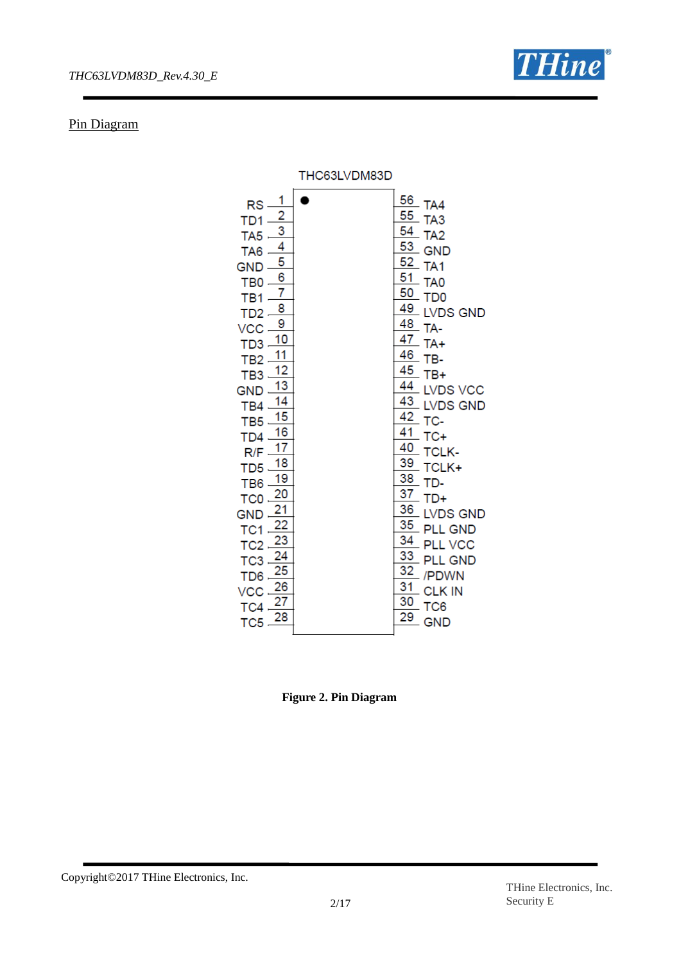

## Pin Diagram

|                                                                                                                                                                                                                                                                                                                                                                                                                                                                                                                                                                                                                                          | THC63LVDM83D |                                                                                                                                                                                                                                                                                                                                                                                                                                                                                                                                                                                                                    |
|------------------------------------------------------------------------------------------------------------------------------------------------------------------------------------------------------------------------------------------------------------------------------------------------------------------------------------------------------------------------------------------------------------------------------------------------------------------------------------------------------------------------------------------------------------------------------------------------------------------------------------------|--------------|--------------------------------------------------------------------------------------------------------------------------------------------------------------------------------------------------------------------------------------------------------------------------------------------------------------------------------------------------------------------------------------------------------------------------------------------------------------------------------------------------------------------------------------------------------------------------------------------------------------------|
| 1<br>RS<br>$\frac{2}{3}$<br>TD1<br>TA <sub>5</sub><br>4<br>TA <sub>6</sub><br>5<br><b>GND</b><br>$\overline{6}$<br>TB <sub>0</sub><br>7<br>TB <sub>1</sub><br>8<br>T <sub>D</sub> 2<br>9<br>VCC<br>10<br>TD <sub>3</sub><br>11<br>TB <sub>2</sub><br>12<br>TB <sub>3</sub><br>13<br><b>GND</b><br>$\overline{14}$<br>TB4<br>15<br>TB <sub>5</sub><br>16<br>TD <sub>4</sub><br>17<br>R/F<br>18<br>T <sub>D5</sub><br>19<br>TB <sub>6</sub><br>20<br>TC <sub>0</sub><br>21<br><b>GND</b><br>22<br>TC <sub>1</sub><br>23<br>TC <sub>2</sub><br>TC <sub>3</sub><br>25<br>T <sub>D</sub> 6<br>26<br>VCC<br>27<br>TC4<br>28<br>TC <sub>5</sub> |              | 56<br>$-TA4$<br>55<br>TA <sub>3</sub><br>54<br>TA <sub>2</sub><br>$\frac{53}{ }$ GND<br>52<br>TA <sub>1</sub><br>51<br>TA <sub>0</sub><br>50<br>T <sub>D</sub> <sub>0</sub><br>49<br><b>LVDS GND</b><br>48<br>TA-<br>$\frac{47}{10}$ TA+<br>46<br>TB-<br>45<br>TB+<br>44<br><b>LVDS VCC</b><br>43<br><b>LVDS GND</b><br>42<br>TC-<br>41<br>$TC+$<br>40<br><b>TCLK-</b><br>39<br>TCLK+<br>38<br>TD-<br>37<br>$TD+$<br>36<br><b>LVDS GND</b><br>35<br><b>PLL GND</b><br>34<br><b>PLL VCC</b><br>33<br><b>PLL GND</b><br>32<br>/PDWN<br>$\overline{31}$<br><b>CLK IN</b><br>30<br>TC <sub>6</sub><br>29<br><b>GND</b> |

**Figure 2. Pin Diagram**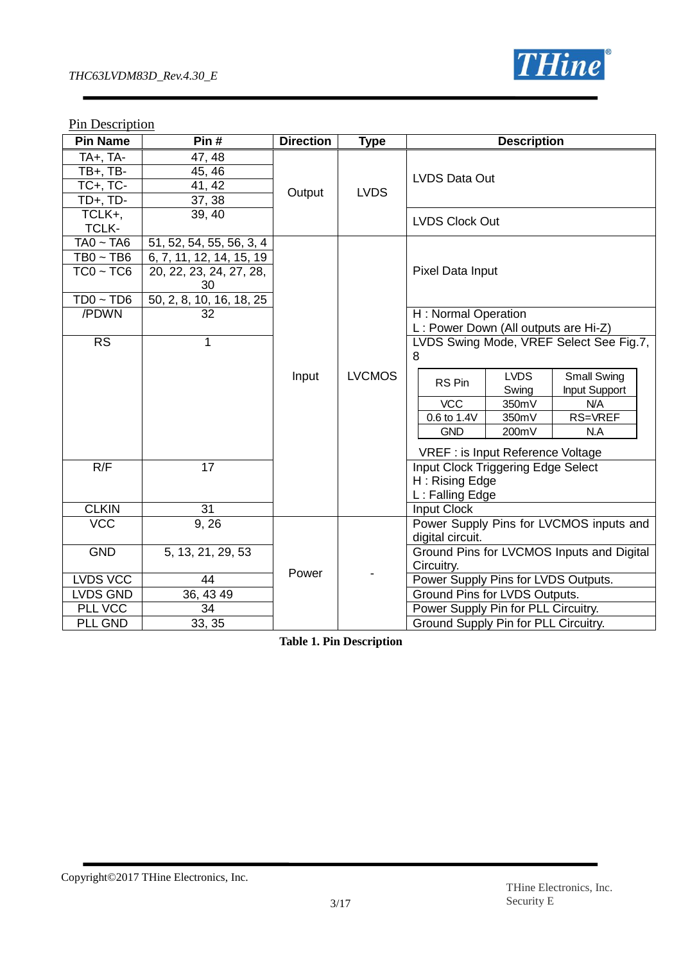

## **Pin Description**

| <b>Pin Name</b>                                               | Pin#                                                                                                              | <b>Direction</b> | <b>Type</b>   | <b>Description</b>                                                                                                                                                                                        |
|---------------------------------------------------------------|-------------------------------------------------------------------------------------------------------------------|------------------|---------------|-----------------------------------------------------------------------------------------------------------------------------------------------------------------------------------------------------------|
| TA+, TA-<br><b>TB+, TB-</b><br>$TC+$ , $TC-$<br>$TD+$ , $TD-$ | 47, 48<br>45, 46<br>41, 42<br>37, 38                                                                              | Output           | <b>LVDS</b>   | LVDS Data Out                                                                                                                                                                                             |
| TCLK+,<br>TCLK-                                               | 39, 40                                                                                                            |                  |               | <b>LVDS Clock Out</b>                                                                                                                                                                                     |
| $TA0 - TA6$<br>$TB0 \sim TB6$<br>$TC0 - TC6$<br>$TD0 - TD6$   | 51, 52, 54, 55, 56, 3, 4<br>6, 7, 11, 12, 14, 15, 19<br>20, 22, 23, 24, 27, 28,<br>30<br>50, 2, 8, 10, 16, 18, 25 |                  |               | Pixel Data Input                                                                                                                                                                                          |
| /PDWN<br>$\overline{\text{RS}}$                               | 32<br>1                                                                                                           |                  |               | H: Normal Operation<br>L: Power Down (All outputs are Hi-Z)<br>LVDS Swing Mode, VREF Select See Fig.7,<br>8                                                                                               |
|                                                               |                                                                                                                   | Input            | <b>LVCMOS</b> | <b>LVDS</b><br><b>Small Swing</b><br>RS Pin<br>Input Support<br>Swing<br><b>VCC</b><br>350mV<br>N/A<br>RS=VREF<br>0.6 to 1.4V<br>350mV<br><b>GND</b><br>200mV<br>N.A<br>VREF : is Input Reference Voltage |
| R/F<br><b>CLKIN</b>                                           | 17<br>31                                                                                                          |                  |               | <b>Input Clock Triggering Edge Select</b><br>H: Rising Edge<br>L: Falling Edge<br><b>Input Clock</b>                                                                                                      |
| <b>VCC</b>                                                    | 9, 26                                                                                                             |                  |               | Power Supply Pins for LVCMOS inputs and<br>digital circuit.                                                                                                                                               |
| <b>GND</b>                                                    | 5, 13, 21, 29, 53                                                                                                 | Power            |               | Ground Pins for LVCMOS Inputs and Digital<br>Circuitry.                                                                                                                                                   |
| LVDS VCC<br><b>LVDS GND</b>                                   | 44<br>36, 43 49                                                                                                   |                  |               | Power Supply Pins for LVDS Outputs.<br>Ground Pins for LVDS Outputs.                                                                                                                                      |
| PLL VCC                                                       | 34                                                                                                                |                  |               | Power Supply Pin for PLL Circuitry.                                                                                                                                                                       |
| PLL GND                                                       | 33, 35                                                                                                            |                  |               | Ground Supply Pin for PLL Circuitry.                                                                                                                                                                      |

**Table 1. Pin Description**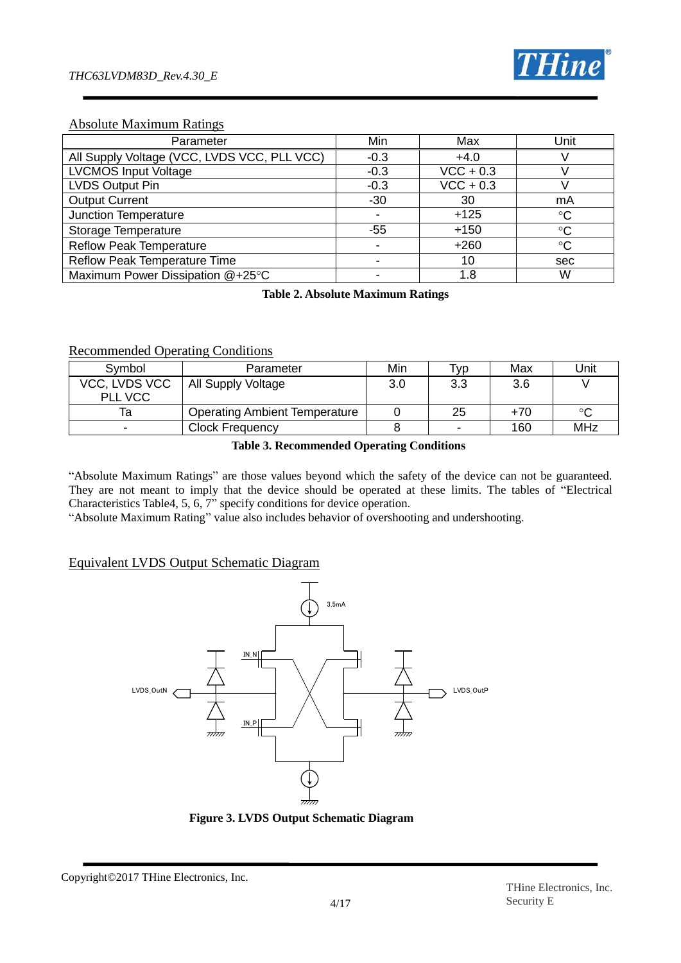

## Absolute Maximum Ratings

| Parameter                                   | Min    | Max         | Unit            |
|---------------------------------------------|--------|-------------|-----------------|
| All Supply Voltage (VCC, LVDS VCC, PLL VCC) | $-0.3$ | $+4.0$      |                 |
| <b>LVCMOS Input Voltage</b>                 | $-0.3$ | $VCC + 0.3$ |                 |
| LVDS Output Pin                             | $-0.3$ | $VCC + 0.3$ |                 |
| <b>Output Current</b>                       | $-30$  | 30          | mA              |
| Junction Temperature                        |        | $+125$      | $\rm ^{\circ}C$ |
| Storage Temperature                         | -55    | $+150$      | $\rm ^{\circ}C$ |
| <b>Reflow Peak Temperature</b>              |        | $+260$      | $\rm ^{\circ}C$ |
| <b>Reflow Peak Temperature Time</b>         |        | 10          | sec             |
| Maximum Power Dissipation @+25°C            |        | 1.8         | W               |

**Table 2. Absolute Maximum Ratings**

#### Recommended Operating Conditions

| Symbol        | Parameter                            | Min | Tvp | Max   | Unit |
|---------------|--------------------------------------|-----|-----|-------|------|
| VCC, LVDS VCC | All Supply Voltage                   | 3.0 | ں.ں | 3.6   |      |
| PLL VCC       |                                      |     |     |       |      |
| ıa            | <b>Operating Ambient Temperature</b> |     | 25  | $+70$ | ഫ    |
|               | <b>Clock Frequency</b>               |     |     | 160   | MHz  |

#### **Table 3. Recommended Operating Conditions**

"Absolute Maximum Ratings" are those values beyond which the safety of the device can not be guaranteed. They are not meant to imply that the device should be operated at these limits. The tables of "Electrical Characteristics Table4, 5, 6, 7" specify conditions for device operation.

"Absolute Maximum Rating" value also includes behavior of overshooting and undershooting.

## Equivalent LVDS Output Schematic Diagram



**Figure 3. LVDS Output Schematic Diagram**

Copyright©2017 THine Electronics, Inc.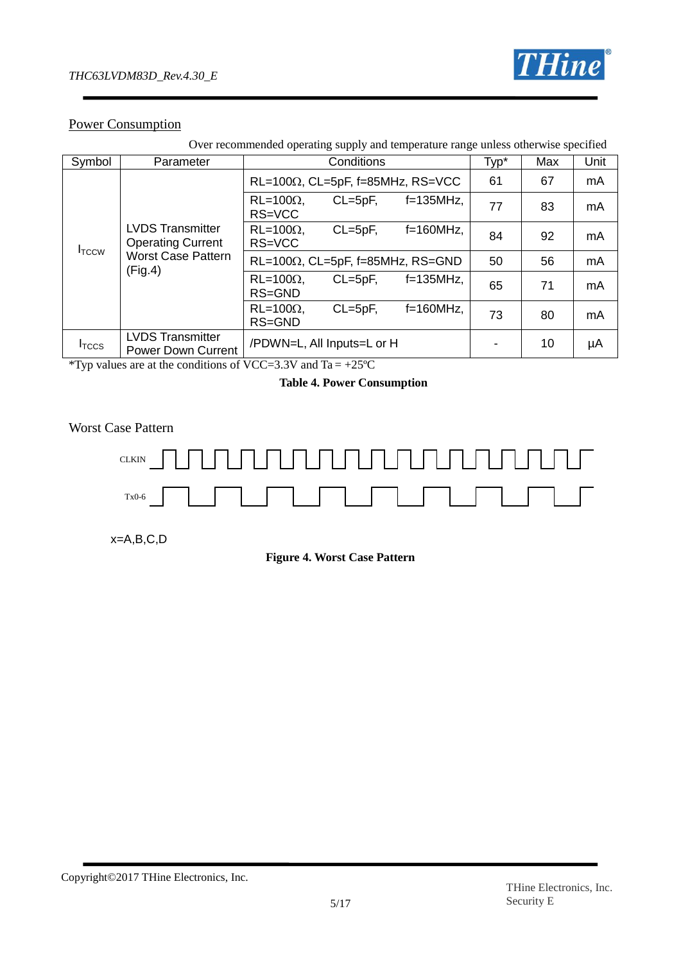

## Power Consumption

| Over recommended operating supply and temperature range unless otherwise specified |                                                      |                            |              |                                          |      |     |      |
|------------------------------------------------------------------------------------|------------------------------------------------------|----------------------------|--------------|------------------------------------------|------|-----|------|
| Symbol                                                                             | Parameter                                            |                            | Conditions   |                                          | Typ* | Max | Unit |
|                                                                                    |                                                      |                            |              | $RL=100\Omega$ , CL=5pF, f=85MHz, RS=VCC | 61   | 67  | mA   |
|                                                                                    |                                                      | $RL=100\Omega$ ,<br>RS=VCC | $CL = 5pF$ , | $f=135MHz$ ,                             | 77   | 83  | mA   |
| I <sub>TCCW</sub>                                                                  | <b>LVDS Transmitter</b><br><b>Operating Current</b>  | $RL=100\Omega$ ,<br>RS=VCC | $CL = 5pF$ , | $f=160MHz$ ,                             | 84   | 92  | mA   |
|                                                                                    | <b>Worst Case Pattern</b><br>(Fig.4)                 |                            |              | $RL=100\Omega$ , CL=5pF, f=85MHz, RS=GND | 50   | 56  | mA   |
|                                                                                    |                                                      | $RL=100\Omega$ ,<br>RS=GND | $CL=5pF$ ,   | $f=135$ MHz,                             | 65   | 71  | mA   |
|                                                                                    |                                                      | $RL=100\Omega$ ,<br>RS=GND | $CL = 5pF$ , | $f=160MHz$ ,                             | 73   | 80  | mA   |
| I <sub>TCCS</sub>                                                                  | <b>LVDS Transmitter</b><br><b>Power Down Current</b> | /PDWN=L, All Inputs=L or H |              |                                          |      | 10  | μA   |

\*Typ values are at the conditions of VCC=3.3V and  $Ta = +25^{\circ}C$ 

## **Table 4. Power Consumption**

Worst Case Pattern



x=A,B,C,D

**Figure 4. Worst Case Pattern**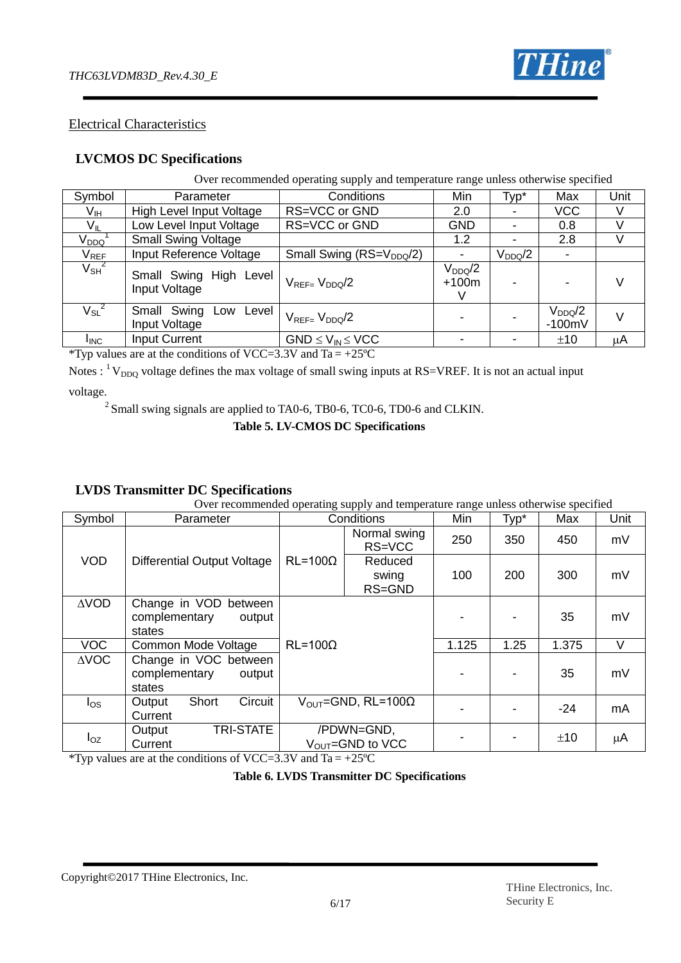

## Electrical Characteristics

## **LVCMOS DC Specifications**

Over recommended operating supply and temperature range unless otherwise specified

| Symbol                      | Parameter                               | Conditions                       | Min                    | Typ*        | Max                     | Unit |
|-----------------------------|-----------------------------------------|----------------------------------|------------------------|-------------|-------------------------|------|
| V <sub>IH</sub>             | High Level Input Voltage                | RS=VCC or GND                    | 2.0                    |             | <b>VCC</b>              | V    |
| $V_{IL}$                    | Low Level Input Voltage                 | RS=VCC or GND                    | <b>GND</b>             |             | 0.8                     |      |
| $\rm V_{DDQ}$               | <b>Small Swing Voltage</b>              |                                  | 1.2                    |             | 2.8                     | V    |
| $\mathsf{V}_{\mathsf{REF}}$ | Input Reference Voltage                 | Small Swing ( $RS = V_{DDQ}/2$ ) | $\blacksquare$         | $V_{DDQ}/2$ |                         |      |
| $V_{SH}^2$                  | Small Swing High Level<br>Input Voltage | $V_{REF}=V_{DDQ}/2$              | $V_{DDQ}/2$<br>$+100m$ |             |                         |      |
| $V_{SL}^2$                  | Small Swing Low Level<br>Input Voltage  | $V_{RFF=}$ $V_{DDO}/2$           |                        |             | $V_{DDQ}/2$<br>$-100mV$ | V    |
| <b>I</b> INC                | <b>Input Current</b>                    | $GND \leq V_{IN} \leq VCC$       |                        |             | ±10                     | μA   |

\*Typ values are at the conditions of VCC=3.3V and Ta =  $+25^{\circ}$ C

Notes :  $1 \text{V}_{\text{DDO}}$  voltage defines the max voltage of small swing inputs at RS=VREF. It is not an actual input voltage.

<sup>2</sup> Small swing signals are applied to TA0-6, TB0-6, TC0-6, TD0-6 and CLKIN.

**Table 5. LV-CMOS DC Specifications**

## **LVDS Transmitter DC Specifications**

Over recommended operating supply and temperature range unless otherwise specified

| Symbol          | Parameter                                                     |                  | 11 V<br>Conditions                          | Min   | Typ* | Max   | Unit |
|-----------------|---------------------------------------------------------------|------------------|---------------------------------------------|-------|------|-------|------|
|                 |                                                               |                  | Normal swing<br>RS=VCC                      | 250   | 350  | 450   | mV   |
| <b>VOD</b>      | Differential Output Voltage                                   | $RL = 100\Omega$ | Reduced<br>swing<br>RS=GND                  | 100   | 200  | 300   | mV   |
| $\triangle VOD$ | Change in VOD<br>between<br>complementary<br>output<br>states |                  |                                             |       |      | 35    | mV   |
| <b>VOC</b>      | Common Mode Voltage                                           | $RL = 100\Omega$ |                                             | 1.125 | 1.25 | 1.375 | V    |
| $\triangle$ VOC | Change in VOC between<br>complementary<br>output<br>states    |                  |                                             |       |      | 35    | mV   |
| $I_{OS}$        | Circuit<br>Short<br>Output<br>Current                         |                  | $V_{\text{OUT}}$ =GND, RL=100 $\Omega$      |       |      | -24   | mA   |
| $I_{OZ}$        | <b>TRI-STATE</b><br>Output<br>Current                         |                  | /PDWN=GND,<br>$V_{\text{OUT}} =$ GND to VCC |       |      | ±10   | μA   |

\*Typ values are at the conditions of VCC=3.3V and Ta =  $+25^{\circ}$ C

**Table 6. LVDS Transmitter DC Specifications**

Copyright©2017 THine Electronics, Inc.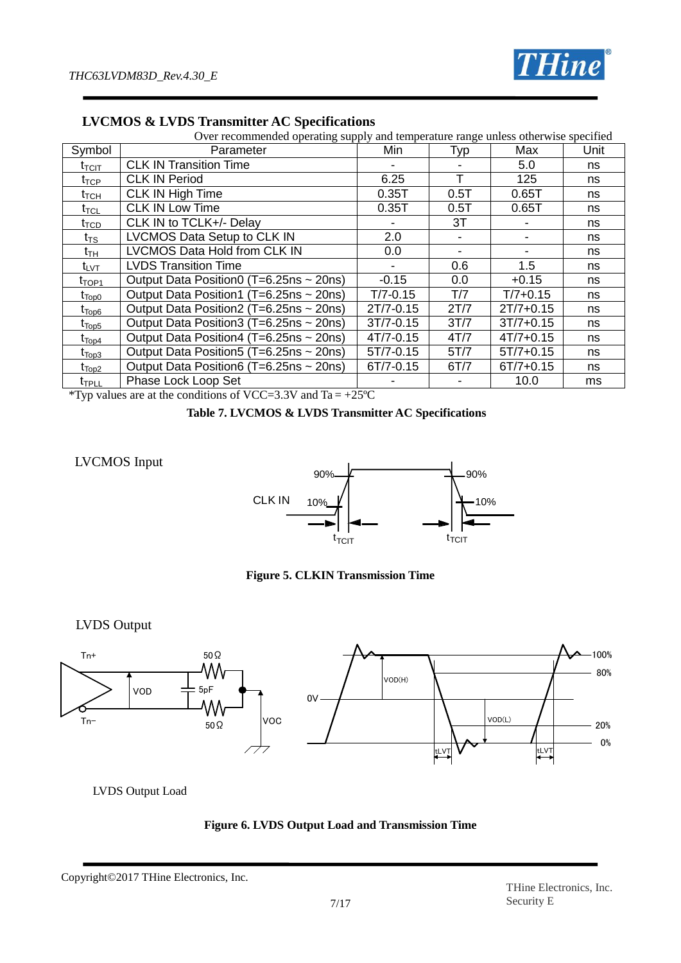

|                                | Over recommended operating supply and temperature range unless otherwise specified |               |      |               |      |  |  |
|--------------------------------|------------------------------------------------------------------------------------|---------------|------|---------------|------|--|--|
| Symbol                         | Parameter                                                                          | Min           | Typ  | Max           | Unit |  |  |
| $\mathfrak{r}_{\text{TCIT}}$   | <b>CLK IN Transition Time</b>                                                      |               |      | 5.0           | ns   |  |  |
| $t_{\mathsf{TCP}}$             | <b>CLK IN Period</b>                                                               | 6.25          |      | 125           | ns   |  |  |
| $t_{\scriptstyle\textrm{TCH}}$ | CLK IN High Time                                                                   | 0.35T         | 0.5T | 0.65T         | ns   |  |  |
| $t_{\sf TCL}$                  | <b>CLK IN Low Time</b>                                                             | 0.35T         | 0.5T | 0.65T         | ns   |  |  |
| $t_{\text{TCD}}$               | CLK IN to TCLK+/- Delay                                                            |               | 3T   |               | ns   |  |  |
| $t_{\mathsf{TS}}$              | LVCMOS Data Setup to CLK IN                                                        | 2.0           |      |               | ns   |  |  |
| $\mathsf{t}_{\mathsf{TH}}$     | LVCMOS Data Hold from CLK IN                                                       | 0.0           |      |               | ns   |  |  |
| $t_{\text{LVT}}$               | <b>LVDS Transition Time</b>                                                        |               | 0.6  | 1.5           | ns   |  |  |
| $t_{\text{TOP1}}$              | Output Data Position0 (T=6.25ns ~ 20ns)                                            | $-0.15$       | 0.0  | $+0.15$       | ns   |  |  |
| $\rm t_{Top0}$                 | Output Data Position1 (T=6.25ns ~ 20ns)                                            | $T/7 - 0.15$  | T/7  | $T/7 + 0.15$  | ns   |  |  |
| t <sub>Top6</sub>              | Output Data Position2 (T=6.25ns ~ 20ns)                                            | 2T/7-0.15     | 2T/7 | $2T/7 + 0.15$ | ns   |  |  |
| $\mathfrak{r}_{\mathsf{Top5}}$ | Output Data Position3 (T=6.25ns ~ 20ns)                                            | 3T/7-0.15     | 3T/7 | $3T/7 + 0.15$ | ns   |  |  |
| $\rm t_{Top4}$                 | Output Data Position4 (T=6.25ns ~ 20ns)                                            | 4T/7-0.15     | 4T/7 | $4T/7 + 0.15$ | ns   |  |  |
| t <sub>Top3</sub>              | Output Data Position 5 (T=6.25ns ~ 20ns)                                           | $5T/7 - 0.15$ | 5T/7 | $5T/7 + 0.15$ | ns   |  |  |
| $\mathfrak{r}_{\text{Top2}}$   | Output Data Position6 (T=6.25ns ~ 20ns)                                            | 6T/7-0.15     | 6T/7 | $6T/7 + 0.15$ | ns   |  |  |
| $\mathfrak{r}_{\texttt{FPLL}}$ | Phase Lock Loop Set                                                                |               |      | 10.0          | ms   |  |  |

**LVCMOS & LVDS Transmitter AC Specifications**

\*Typ values are at the conditions of VCC=3.3V and Ta = +25°C

**Table 7. LVCMOS & LVDS Transmitter AC Specifications**

## LVCMOS Input



**Figure 5. CLKIN Transmission Time**

LVDS Output



LVDS Output Load



Copyright©2017 THine Electronics, Inc.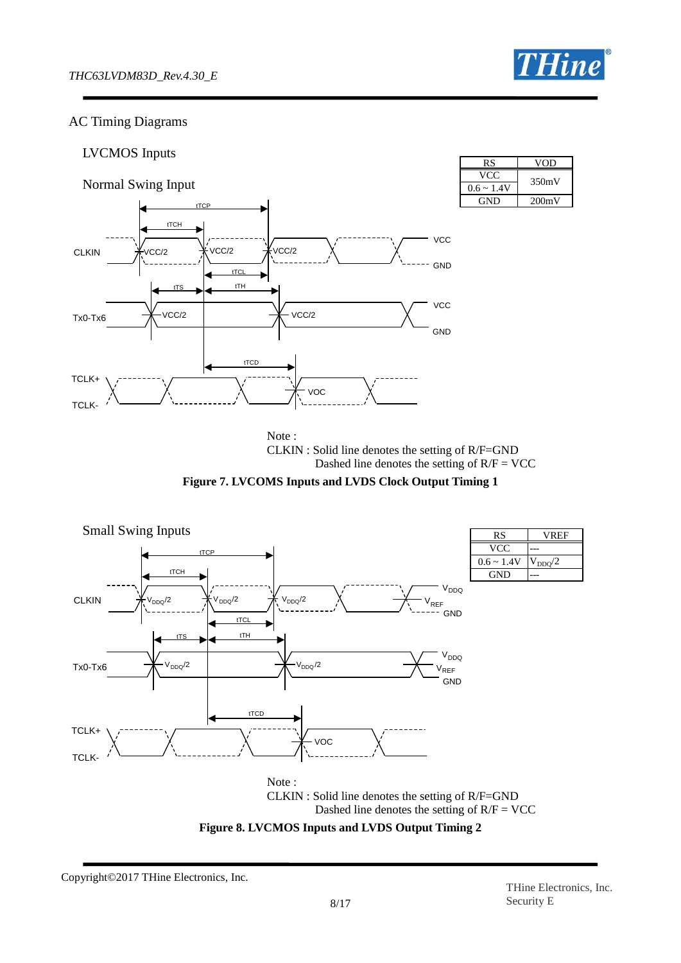## AC Timing Diagrams



 CLKIN : Solid line denotes the setting of R/F=GND Dashed line denotes the setting of  $R/F = VCC$ 

**Figure 7. LVCOMS Inputs and LVDS Clock Output Timing 1**





Copyright©2017 THine Electronics, Inc.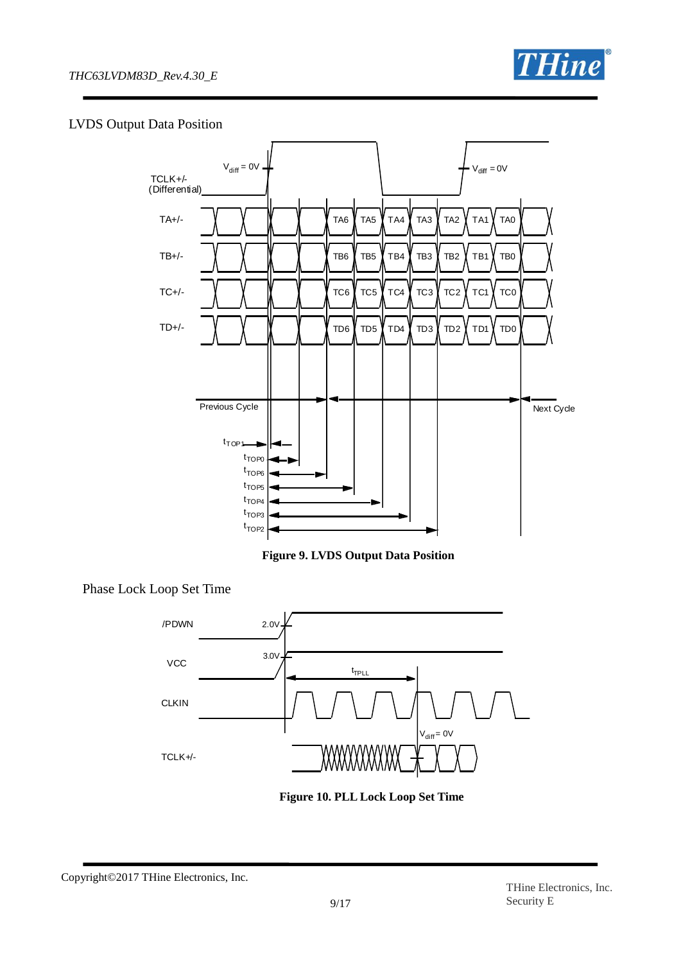

## LVDS Output Data Position



**Figure 9. LVDS Output Data Position**

Phase Lock Loop Set Time



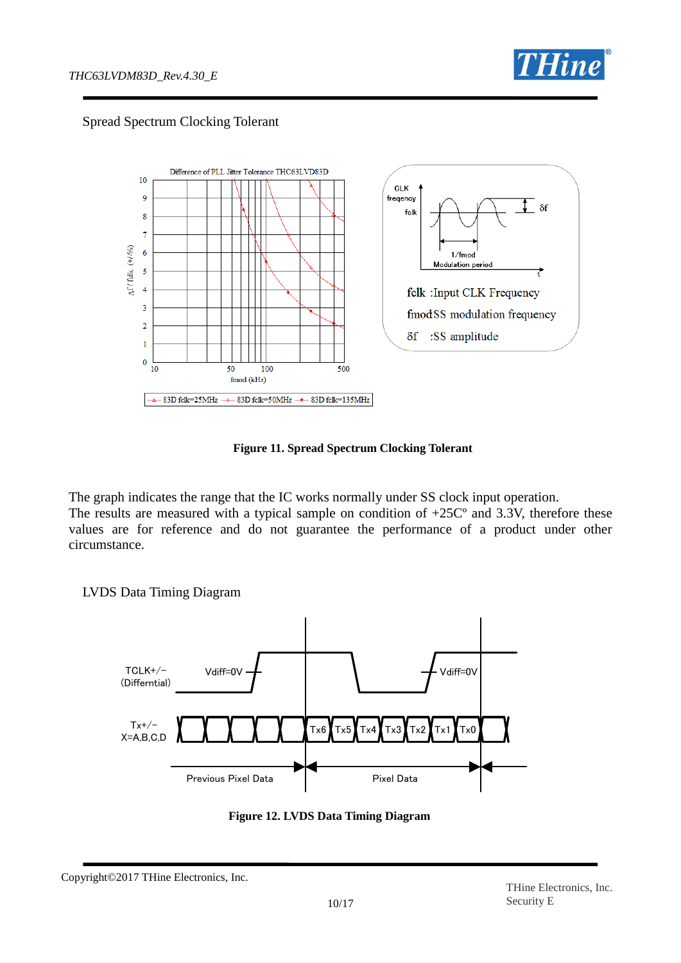

## Spread Spectrum Clocking Tolerant



**Figure 11. Spread Spectrum Clocking Tolerant**

The graph indicates the range that the IC works normally under SS clock input operation. The results are measured with a typical sample on condition of  $+25C<sup>o</sup>$  and 3.3V, therefore these values are for reference and do not guarantee the performance of a product under other circumstance.

LVDS Data Timing Diagram



**Figure 12. LVDS Data Timing Diagram**

Copyright©2017 THine Electronics, Inc.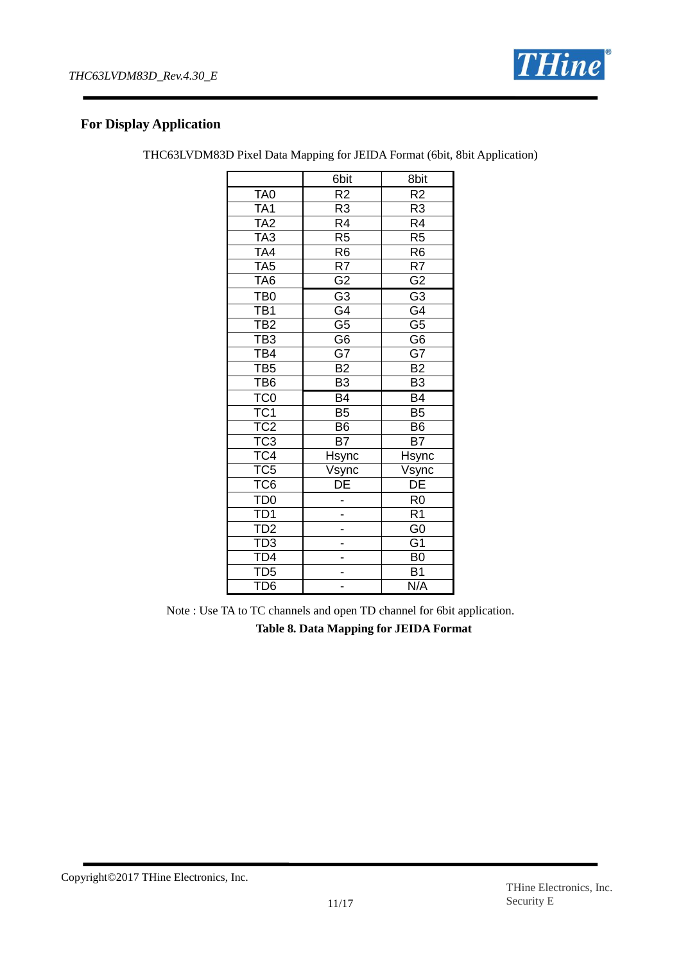

## **For Display Application**

| THC63LVDM83D Pixel Data Mapping for JEIDA Format (6bit, 8bit Application) |  |  |  |
|---------------------------------------------------------------------------|--|--|--|
|                                                                           |  |  |  |

|                                                                          | 6bit                     | 8bit                     |
|--------------------------------------------------------------------------|--------------------------|--------------------------|
| TA <sub>0</sub>                                                          | R <sub>2</sub>           | $\overline{R2}$          |
| TA <sub>1</sub>                                                          | R <sub>3</sub>           | R <sub>3</sub>           |
| TA <sub>2</sub>                                                          | $\overline{R4}$          | $\overline{R4}$          |
| $\overline{\text{TA}}3$                                                  | $\overline{R5}$          | $\overline{R5}$          |
| TA4                                                                      | R <sub>6</sub>           | R <sub>6</sub>           |
| TA <sub>5</sub>                                                          | R7                       | R7                       |
| TA <sub>6</sub>                                                          | $\overline{G2}$          | $\overline{G2}$          |
| TB <sub>0</sub>                                                          | $\overline{G}3$          | $\overline{G}3$          |
| TB1<br>TB2                                                               | $\overline{\mathsf{G4}}$ | $\overline{\mathsf{G4}}$ |
|                                                                          | $\overline{\mathsf{G5}}$ | $\overline{\mathsf{G5}}$ |
| TB <sub>3</sub>                                                          | $\overline{\mathsf{G6}}$ | $\overline{\mathsf{G6}}$ |
| $\overline{\text{TB4}}$                                                  | $\overline{\mathsf{G7}}$ | $\overline{\mathsf{G7}}$ |
| TB <sub>5</sub>                                                          | B2                       | B2                       |
| TB <sub>6</sub>                                                          | $\overline{B3}$          | $\overline{B3}$          |
| TC <sub>0</sub>                                                          | B4                       | $\overline{B4}$          |
|                                                                          | $\overline{B5}$          | $\overline{B5}$          |
| TC1<br>TC2                                                               | $\overline{B6}$          | B <sub>6</sub>           |
|                                                                          | $\overline{B7}$          | $\overline{B7}$          |
| $\frac{1}{1}$<br>TC4                                                     | Hsync                    | <b>Hsync</b>             |
| TC5                                                                      |                          |                          |
| TC <sub>6</sub>                                                          | Vsync<br>DE              | Vsync<br>DE              |
|                                                                          |                          | R <sub>0</sub>           |
| $\frac{TDO}{TD1}$                                                        |                          | $\overline{R1}$          |
|                                                                          |                          | $\overline{G}0$          |
| TD <sub>2</sub><br>TD <sub>3</sub><br>TD <sub>4</sub><br>TD <sub>5</sub> |                          | $\overline{G1}$          |
|                                                                          |                          | B <sub>0</sub>           |
|                                                                          |                          | $\overline{B1}$          |
| TD <sub>6</sub>                                                          |                          | N/A                      |

Note : Use TA to TC channels and open TD channel for 6bit application.

**Table 8. Data Mapping for JEIDA Format**

Copyright©2017 THine Electronics, Inc.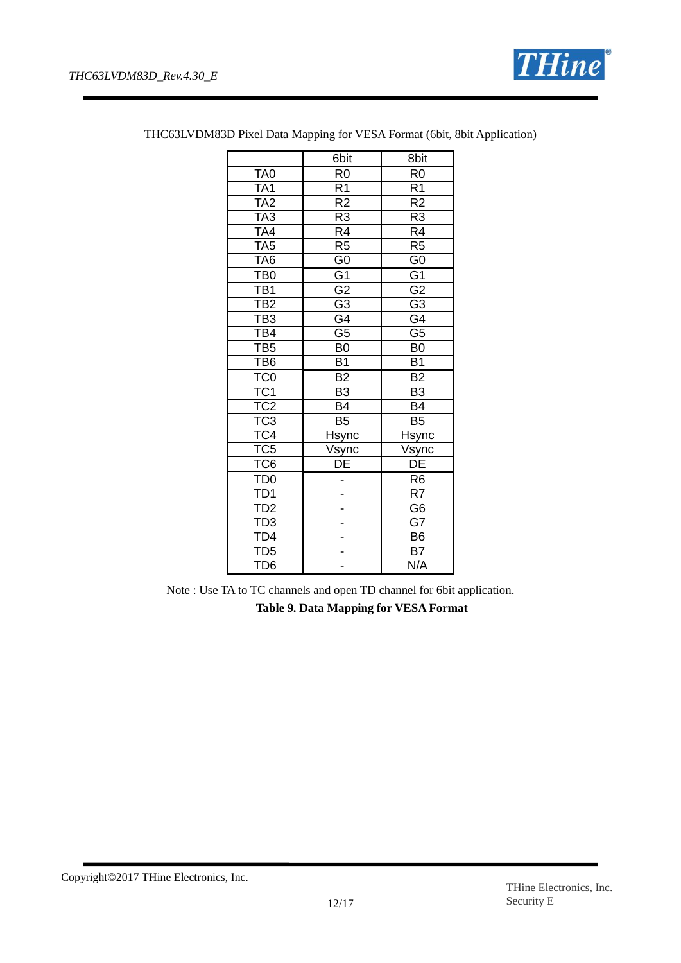

|                         | 6bit                     | 8bit                     |
|-------------------------|--------------------------|--------------------------|
| TA <sub>0</sub>         | R <sub>0</sub>           | R <sub>0</sub>           |
| TA <sub>1</sub>         | $\overline{R1}$          | $\overline{R1}$          |
| TA <sub>2</sub>         | $\overline{R2}$          | $\overline{R2}$          |
| TA3                     | $\overline{R3}$          | $\overline{R3}$          |
| TA4                     | $\overline{\mathsf{R4}}$ | $\overline{R4}$          |
| TA <sub>5</sub>         | R <sub>5</sub>           | R <sub>5</sub>           |
| TA <sub>6</sub>         | $\overline{60}$          | $\overline{G}$           |
| TB <sub>0</sub>         | $\overline{G1}$          | $\overline{G1}$          |
| TB1                     | $\overline{\mathsf{G2}}$ | $\overline{G2}$          |
| TB <sub>2</sub>         | $\overline{G3}$          | $\overline{G3}$          |
| TB3<br>TB4              | $\overline{\mathsf{G4}}$ | $\overline{G4}$          |
|                         | $\overline{\mathsf{G5}}$ | $\overline{\mathsf{G5}}$ |
| TB <sub>5</sub>         | $\overline{B0}$          | B <sub>0</sub>           |
| $\overline{TB6}$        | $\overline{B1}$          | $\overline{B1}$          |
| TC <sub>0</sub>         | $\overline{B2}$          | $\overline{B2}$          |
| TC <sub>1</sub>         | $\overline{B3}$          | $\overline{B3}$          |
| TC <sub>2</sub>         | <b>B4</b>                | B4                       |
| $\overline{\text{TC3}}$ | $\overline{B5}$          | $\overline{B5}$          |
| $\overline{TC4}$        | Hsync                    | <b>Hsync</b>             |
| TC <sub>5</sub>         | Vsync                    | Vsync                    |
| TC <sub>6</sub>         | $\overline{\mathsf{DE}}$ | $\overline{DE}$          |
| TD <sub>0</sub>         |                          | R <sub>6</sub>           |
| TD1<br>TD2              |                          | R7                       |
|                         |                          | $\overline{G6}$          |
| TD3<br>TD4              |                          | $\overline{G}$           |
|                         |                          | B <sub>6</sub>           |
| ID5                     |                          | <b>B7</b>                |
| TD <sub>6</sub>         |                          | N/A                      |

THC63LVDM83D Pixel Data Mapping for VESA Format (6bit, 8bit Application)

Note : Use TA to TC channels and open TD channel for 6bit application. **Table 9. Data Mapping for VESA Format**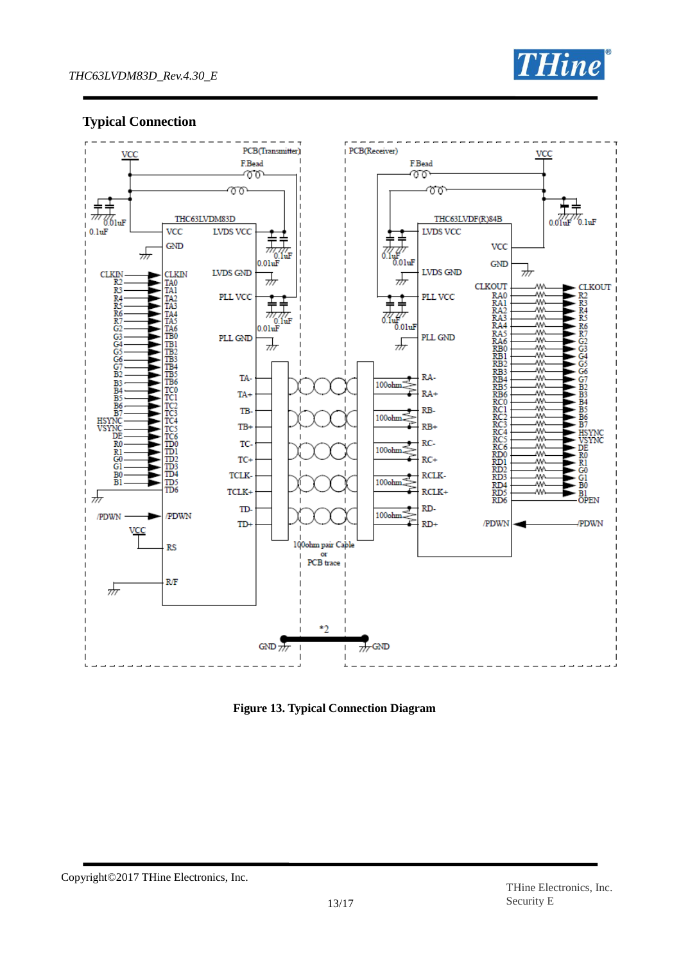

## **Typical Connection**



**Figure 13. Typical Connection Diagram**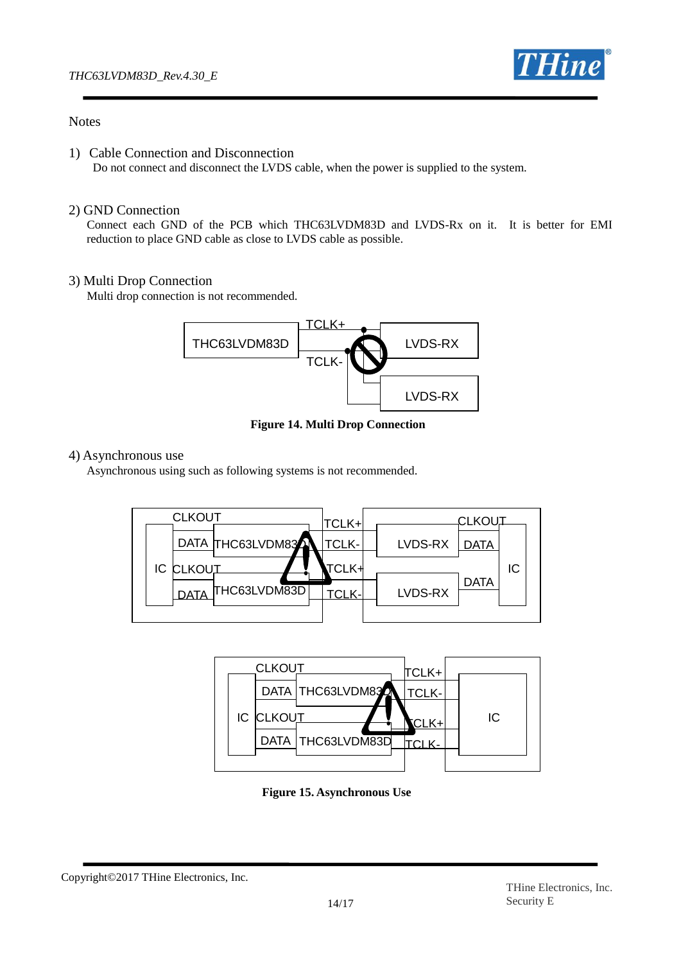

## **Notes**

1) Cable Connection and Disconnection

Do not connect and disconnect the LVDS cable, when the power is supplied to the system.

#### 2) GND Connection

 Connect each GND of the PCB which THC63LVDM83D and LVDS-Rx on it. It is better for EMI reduction to place GND cable as close to LVDS cable as possible.

## 3) Multi Drop Connection

Multi drop connection is not recommended.



**Figure 14. Multi Drop Connection**

#### 4) Asynchronous use

Asynchronous using such as following systems is not recommended.





**Figure 15. Asynchronous Use**

Copyright©2017 THine Electronics, Inc.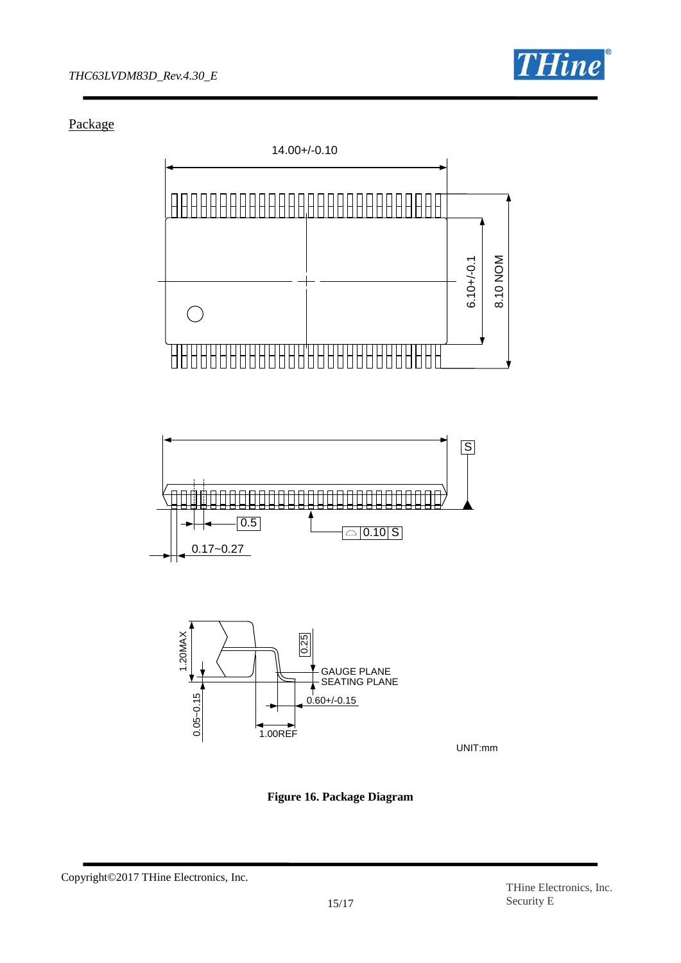

Package







**Figure 16. Package Diagram**

Copyright©2017 THine Electronics, Inc.

UNIT:mm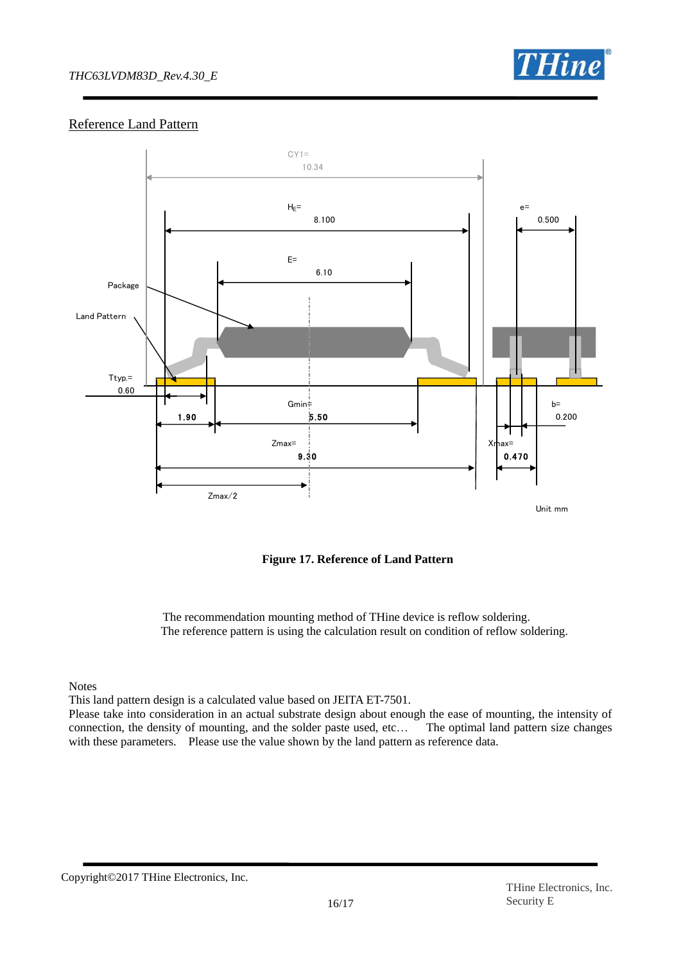## *THC63LVDM83D\_Rev.4.30\_E*



## Reference Land Pattern



**Figure 17. Reference of Land Pattern**

The recommendation mounting method of THine device is reflow soldering. The reference pattern is using the calculation result on condition of reflow soldering.

Notes

This land pattern design is a calculated value based on JEITA ET-7501.

Please take into consideration in an actual substrate design about enough the ease of mounting, the intensity of connection, the density of mounting, and the solder paste used, etc… The optimal land pattern size changes with these parameters. Please use the value shown by the land pattern as reference data.